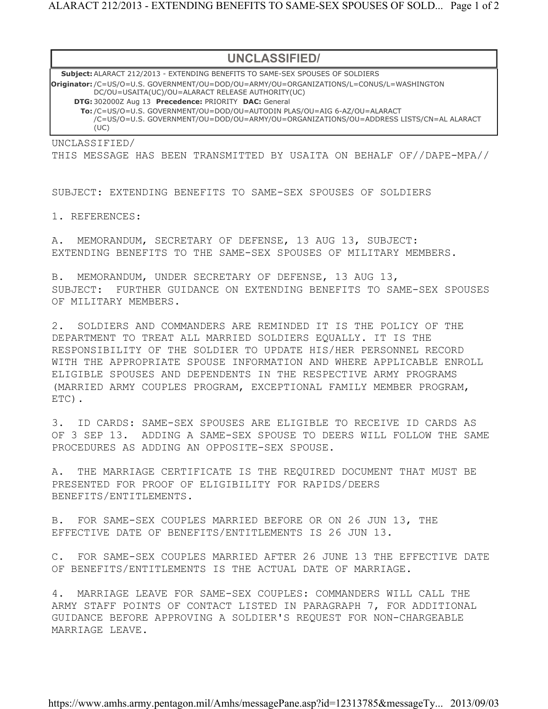## **UNCLASSIFIED/**

**Subject:** ALARACT 212/2013 - EXTENDING BENEFITS TO SAME-SEX SPOUSES OF SOLDIERS **Originator:** /C=US/O=U.S. GOVERNMENT/OU=DOD/OU=ARMY/OU=ORGANIZATIONS/L=CONUS/L=WASHINGTON DC/OU=USAITA(UC)/OU=ALARACT RELEASE AUTHORITY(UC) **DTG:** 302000Z Aug 13 **Precedence:** PRIORITY **DAC:** General **To:** /C=US/O=U.S. GOVERNMENT/OU=DOD/OU=AUTODIN PLAS/OU=AIG 6-AZ/OU=ALARACT /C=US/O=U.S. GOVERNMENT/OU=DOD/OU=ARMY/OU=ORGANIZATIONS/OU=ADDRESS LISTS/CN=AL ALARACT (UC)

UNCLASSIFIED/

THIS MESSAGE HAS BEEN TRANSMITTED BY USAITA ON BEHALF OF//DAPE-MPA//

SUBJECT: EXTENDING BENEFITS TO SAME-SEX SPOUSES OF SOLDIERS

1. REFERENCES:

A. MEMORANDUM, SECRETARY OF DEFENSE, 13 AUG 13, SUBJECT: EXTENDING BENEFITS TO THE SAME-SEX SPOUSES OF MILITARY MEMBERS.

B. MEMORANDUM, UNDER SECRETARY OF DEFENSE, 13 AUG 13, SUBJECT: FURTHER GUIDANCE ON EXTENDING BENEFITS TO SAME-SEX SPOUSES OF MILITARY MEMBERS.

2. SOLDIERS AND COMMANDERS ARE REMINDED IT IS THE POLICY OF THE DEPARTMENT TO TREAT ALL MARRIED SOLDIERS EQUALLY. IT IS THE RESPONSIBILITY OF THE SOLDIER TO UPDATE HIS/HER PERSONNEL RECORD WITH THE APPROPRIATE SPOUSE INFORMATION AND WHERE APPLICABLE ENROLL ELIGIBLE SPOUSES AND DEPENDENTS IN THE RESPECTIVE ARMY PROGRAMS (MARRIED ARMY COUPLES PROGRAM, EXCEPTIONAL FAMILY MEMBER PROGRAM, ETC).

3. ID CARDS: SAME-SEX SPOUSES ARE ELIGIBLE TO RECEIVE ID CARDS AS OF 3 SEP 13. ADDING A SAME-SEX SPOUSE TO DEERS WILL FOLLOW THE SAME PROCEDURES AS ADDING AN OPPOSITE-SEX SPOUSE.

A. THE MARRIAGE CERTIFICATE IS THE REQUIRED DOCUMENT THAT MUST BE PRESENTED FOR PROOF OF ELIGIBILITY FOR RAPIDS/DEERS BENEFITS/ENTITLEMENTS.

B. FOR SAME-SEX COUPLES MARRIED BEFORE OR ON 26 JUN 13, THE EFFECTIVE DATE OF BENEFITS/ENTITLEMENTS IS 26 JUN 13.

C. FOR SAME-SEX COUPLES MARRIED AFTER 26 JUNE 13 THE EFFECTIVE DATE OF BENEFITS/ENTITLEMENTS IS THE ACTUAL DATE OF MARRIAGE.

4. MARRIAGE LEAVE FOR SAME-SEX COUPLES: COMMANDERS WILL CALL THE ARMY STAFF POINTS OF CONTACT LISTED IN PARAGRAPH 7, FOR ADDITIONAL GUIDANCE BEFORE APPROVING A SOLDIER'S REQUEST FOR NON-CHARGEABLE MARRIAGE LEAVE.